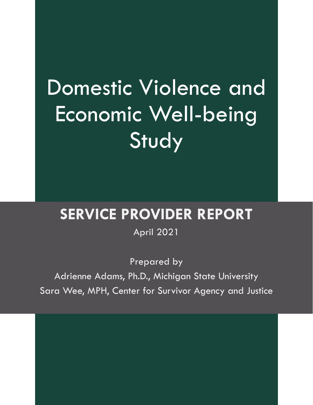### Domestic Violence and Economic Well-being **Study**

#### **SERVICE PROVIDER REPORT**

April 2021

Prepared by Adrienne Adams, Ph.D., Michigan State University Sara Wee, MPH, Center for Survivor Agency and Justice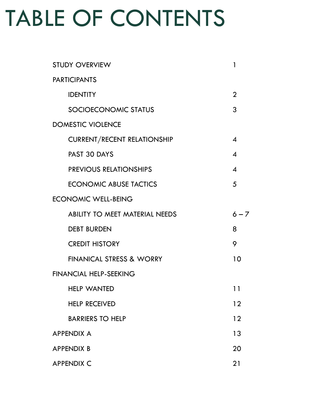### TABLE OF CONTENTS

| <b>STUDY OVERVIEW</b>                 | $\mathbf{1}$               |
|---------------------------------------|----------------------------|
| <b>PARTICIPANTS</b>                   |                            |
| <b>IDENTITY</b>                       | $\overline{2}$             |
| SOCIOECONOMIC STATUS                  | 3                          |
| <b>DOMESTIC VIOLENCE</b>              |                            |
| <b>CURRENT/RECENT RELATIONSHIP</b>    | $\boldsymbol{4}$           |
| PAST 30 DAYS                          | $\boldsymbol{\mathcal{A}}$ |
| <b>PREVIOUS RELATIONSHIPS</b>         | $\boldsymbol{\mathcal{A}}$ |
| <b>ECONOMIC ABUSE TACTICS</b>         | 5                          |
| <b>ECONOMIC WELL-BEING</b>            |                            |
| <b>ABILITY TO MEET MATERIAL NEEDS</b> | $6 - 7$                    |
| <b>DEBT BURDEN</b>                    | 8                          |
| <b>CREDIT HISTORY</b>                 | 9                          |
| <b>FINANICAL STRESS &amp; WORRY</b>   | 10                         |
| <b>FINANCIAL HELP-SEEKING</b>         |                            |
| <b>HELP WANTED</b>                    | 11                         |
| <b>HELP RECEIVED</b>                  | 12                         |
| <b>BARRIERS TO HELP</b>               | 12                         |
| <b>APPENDIX A</b>                     | 13                         |
| <b>APPENDIX B</b>                     | 20                         |
| <b>APPENDIX C</b>                     | 21                         |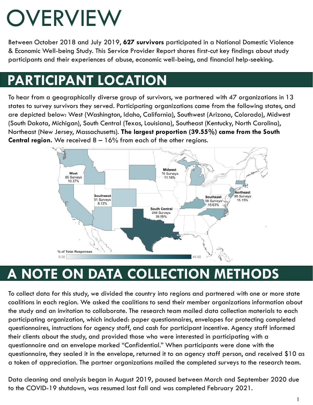### **OVERVIEW**

Between October 2018 and July 2019, 627 survivors participated in a National Domestic Violence & Economic Well-being Study. This Service Provider Report shares first-cut key findings about study participants and their experiences of abuse, economic well-being, and financial help-seeking.

#### **PARTICIPANT LOCATION**

To hear from a geographically diverse group of survivors, we partnered with 47 organizations in 13 states to survey survivors they served. Participating organizations came from the following states, and are depicted below: West (Washington, Idaho, California), Southwest (Arizona, Colorado), Midwest (South Dakota, Michigan), South Central (Texas, Louisiana), Southeast (Kentucky, North Carolina), Northeast (New Jersey, Massachusetts). **The largest proportion (39.55%) came from the South Central region.** We received 8 – 16% from each of the other regions.



#### **A NOTE ON DATA COLLECTION METHODS**

To collect data for this study, we divided the country into regions and partnered with one or more state coalitions in each region. We asked the coalitions to send their member organizations information about the study and an invitation to collaborate. The research team mailed data collection materials to each participating organization, which included: paper questionnaires, envelopes for protecting completed questionnaires, instructions for agency staff, and cash for participant incentive. Agency staff informed their clients about the study, and provided those who were interested in participating with a questionnaire and an envelope marked "Confidential." When participants were done with the questionnaire, they sealed it in the envelope, returned it to an agency staff person, and received \$10 as a token of appreciation. The partner organizations mailed the completed surveys to the research team.

Data cleaning and analysis began in August 2019, paused between March and September 2020 due to the COVID-19 shutdown, was resumed last fall and was completed February 2021.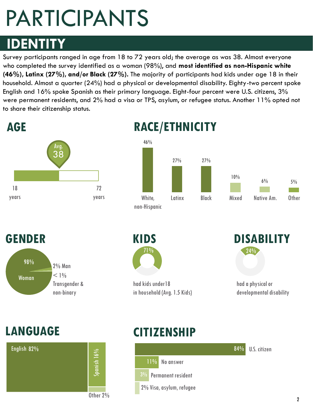### PARTICIPANTS

#### **IDENTITY**

Survey participants ranged in age from 18 to 72 years old; the average as was 38. Almost everyone who completed the survey identified as a woman (98%), and **most identified as non-Hispanic white (46%), Latinx (27%), and/or Black (27%).** The majority of participants had kids under age 18 in their household. Almost a quarter (24%) had a physical or developmental disability. Eighty-two percent spoke English and 16% spoke Spanish as their primary language. Eight-four percent were U.S. citizens, 3% were permanent residents, and 2% had a visa or TPS, asylum, or refugee status. Another 11% opted not to share their citizenship status.



#### **RACE/ETHNICITY**







had kids under18 in household (Avg. 1.5 Kids)



had a physical or developmental disability



#### **LANGUAGE CITIZENSHIP**

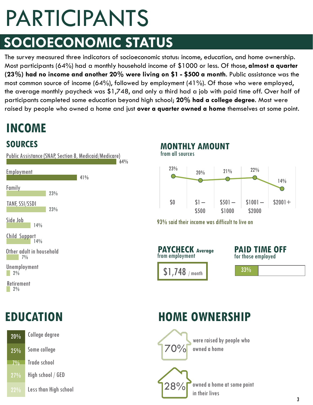## PARTICIPANTS

### **SOCIOECONOMIC STATUS**

The survey measured three indicators of socioeconomic status: income, education, and home ownership. Most participants (64%) had a monthly household income of \$1000 or less. Of those, **almost a quarter (23%) had no income and another 20% were living on \$1 - \$500 a month**. Public assistance was the most common source of income (64%), followed by employment (41%). Of those who were employed, the average monthly paycheck was \$1,748, and only a third had a job with paid time off. Over half of participants completed some education beyond high school; **20% had a college degree**. Most were raised by people who owned a home and just **over a quarter owned a home** themselves at some point.

#### **INCOME**

#### **SOURCES**



| 20%   | College degree        |       |
|-------|-----------------------|-------|
| 25%   | Some college          | 70%   |
| $7\%$ | Trade school          |       |
| 27%   | High school / GED     |       |
| 22%   | Less than High school | 128%T |

#### from all sources **MONTHLY AMOUNT**



93% said their income was difficult to live on



**PAID TIME OFF** for those employed

33%

#### **EDUCATION HOME OWNERSHIP**



were raised by people who owned a home

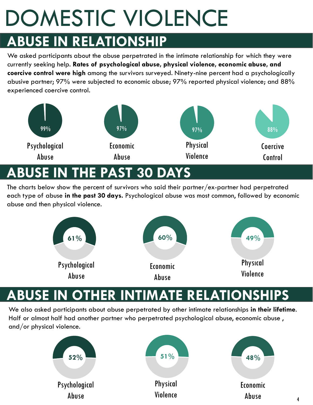# DOMESTIC VIOLENCE

#### **ABUSE IN RELATIONSHIP**

We asked participants about the abuse perpetrated in the intimate relationship for which they were currently seeking help. **Rates of psychological abuse, physical violence, economic abuse, and coercive control were high** among the survivors surveyed. Ninety-nine percent had a psychologically abusive partner; 97% were subjected to economic abuse; 97% reported physical violence; and 88% experienced coercive control.



#### **E IN THE PAST 30 D**

The charts below show the percent of survivors who said their partner/ex-partner had perpetrated each type of abuse **in the past 30 days.** Psychological abuse was most common, followed by economic abuse and then physical violence.



#### **BUSE IN OTHER INTIMATE RELATI**

We also asked participants about abuse perpetrated by other intimate relationships **in their lifetime**. Half or almost half had another partner who perpetrated psychological abuse, economic abuse , and/or physical violence.

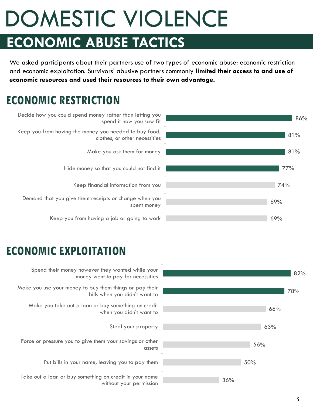### DOMESTIC VIOLENCE **ECONOMIC ABUSE TACTICS**

We asked participants about their partners use of two types of economic abuse: economic restriction and economic exploitation. Survivors' abusive partners commonly **limited their access to and use of economic resources and used their resources to their own advantage.** 

#### **ECONOMIC RESTRICTION**



Decide how you could spend money rather than letting you spend it how you saw fit Keep you from having the money you needed to buy food, clothes, or other necessities Make you ask them for money Hide money so that you could not find it

Keep financial information from you

Demand that you give them receipts or change when you spent money

Keep you from having a job or going to work

#### **ECONOMIC EXPLOITATION**



Spend their money however they wanted while your money went to pay for necessities

Make you use your money to buy them things or pay their bills when you didn't want to

Make you take out a loan or buy something on credit when you didn't want to

Steal your property

Force or pressure you to give them your savings or other assets

Put bills in your name, leaving you to pay them

Take out a loan or buy something on credit in your name without your permission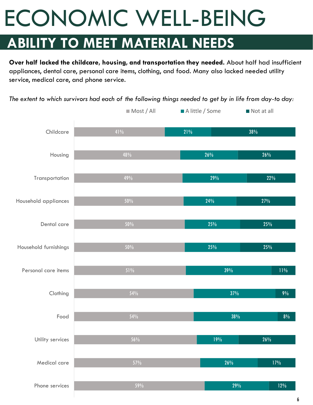#### **ABILITY TO MEET MATERIAL NEEDS**

**Over half lacked the childcare, housing, and transportation they needed.** About half had insufficient appliances, dental care, personal care items, clothing, and food. Many also lacked needed utility service, medical care, and phone service.

*The extent to which survivors had each of the following things needed to get by in life from day-to day:* 

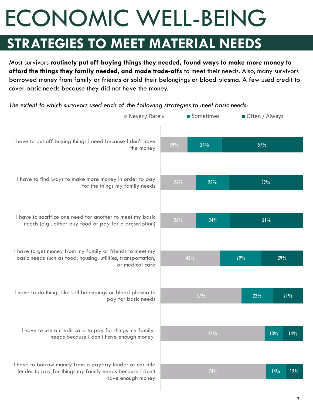#### **STRATEGIES TO MEET MATERIAL NEEDS**

Most survivors **routinely put off buying things they needed, found ways to make more money to afford the things they family needed, and made trade-offs** to meet their needs. Also, many survivors borrowed money from family or friends or sold their belongings or blood plasma. A few used credit to cover basic needs because they did not have the money.

*The extent to which survivors used each of the following strategies to meet basic needs:* 

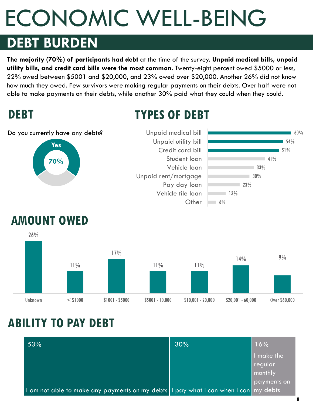#### **DEBT BURDEN**

**The majority (70%) of participants had debt** at the time of the survey. **Unpaid medical bills, unpaid utility bills, and credit card bills were the most common**. Twenty-eight percent owed \$5000 or less, 22% owed between \$5001 and \$20,000, and 23% owed over \$20,000. Another 26% did not know how much they owed. Few survivors were making regular payments on their debts. Over half were not able to make payments on their debts, while another 30% paid what they could when they could.

#### **DEBT**

#### **TYPES OF DEBT**

**70%**  $6\%$  $13%$  $\Box$  23%  $130%$ 33%  $-41%$ 51% 54%  $60%$ **Other** Vehicle tile loan Pay day loan Unpaid rent/mortgage Vehicle loan Student loan Credit card bill Unpaid utility bill Unpaid medical bill Do you currently have any debts? **Yes**



#### **ABILITY TO PAY DEBT**

| 53%                                                                                 | 30% | 16%         |
|-------------------------------------------------------------------------------------|-----|-------------|
|                                                                                     |     | I make the  |
|                                                                                     |     | regular     |
|                                                                                     |     | monthly     |
|                                                                                     |     | payments on |
| I am not able to make any payments on my debts I pay what I can when I can my debts |     |             |

8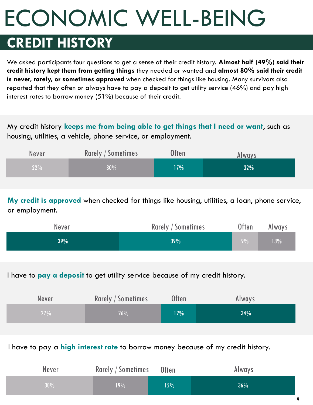### **CREDIT HISTORY**

We asked participants four questions to get a sense of their credit history. **Almost half (49%) said their credit history kept them from getting things** they needed or wanted and **almost 80% said their credit is never, rarely, or sometimes approved** when checked for things like housing. Many survivors also reported that they often or always have to pay a deposit to get utility service (46%) and pay high interest rates to borrow money (51%) because of their credit.

My credit history **keeps me from being able to get things that I need or want**, such as housing, utilities, a vehicle, phone service, or employment.

| <b>Never</b> | <b>Rarely / Sometimes</b> | Often | Always |
|--------------|---------------------------|-------|--------|
| 22%          | 30%                       | 17%   | 32%    |

**My credit is approved** when checked for things like housing, utilities, a loan, phone service, or employment.

| <b>Never</b> | <b>Rarely / Sometimes</b> | <b>Often</b> | Always |
|--------------|---------------------------|--------------|--------|
| 39%          | 39%                       | $9\%$        | 13%    |

I have to **pay a deposit** to get utility service because of my credit history.

| <b>Never</b> | <b>Rarely / Sometimes</b> | <b>Often</b> | Always |
|--------------|---------------------------|--------------|--------|
| 27%          | 26%                       | 12%          | $34\%$ |

I have to pay a **high interest rate** to borrow money because of my credit history.

| <b>Never</b> | Rarely / Sometimes Often |     | Always |
|--------------|--------------------------|-----|--------|
| 30%          | 19%                      | 15% | $36\%$ |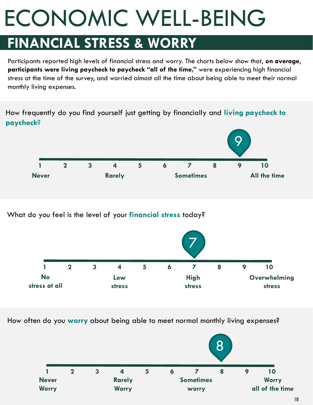#### **FINANCIAL STRESS & WORRY**

Participants reported high levels of financial stress and worry. The charts below show that, **on average**, **participants were living paycheck to paycheck "all of the time,"** were experiencing high financial stress at the time of the survey, and worried almost all the time about being able to meet their normal monthly living expenses.

How frequently do you find yourself just getting by financially and **living paycheck to paycheck**?



What do you feel is the level of your **financial stress** today?



How often do you **worry** about being able to meet normal monthly living expenses?

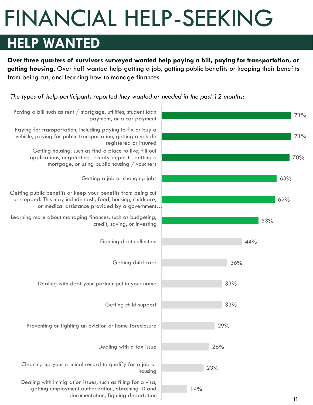### FINANCIAL HELP-SEEKING

#### **HELP WANTED**

**Over three quarters of survivors surveyed wanted help paying a bill, paying for transportation, or getting housing.** Over half wanted help getting a job, getting public benefits or keeping their benefits from being cut, and learning how to manage finances.

*The types of help participants reported they wanted or needed in the past 12 months:*

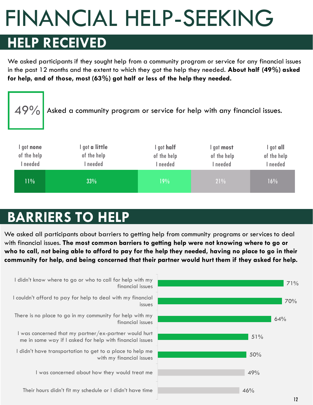### FINANCIAL HELP-SEEKING

### **HELP RECEIVED**

We asked participants if they sought help from a community program or service for any financial issues in the past 12 months and the extent to which they got the help they needed. **About half (49%) asked for help, and of those, most (63%) got half or less of the help they needed.**

| 49%                                 | Asked a community program or service for help with any financial issues. |                                       |                                     |                                      |
|-------------------------------------|--------------------------------------------------------------------------|---------------------------------------|-------------------------------------|--------------------------------------|
| l got none<br>of the help<br>needed | l got <b>a little</b><br>of the help<br>I needed                         | I got half<br>of the help<br>I needed | got most<br>of the help<br>I needed | I got all<br>of the help<br>I needed |
| 11%                                 | 33%                                                                      | 19%                                   | 21%                                 | 16%                                  |

### **BARRIERS TO HELP**

We asked all participants about barriers to getting help from community programs or services to deal with financial issues. **The most common barriers to getting help were not knowing where to go or who to call, not being able to afford to pay for the help they needed, having no place to go in their community for help, and being concerned that their partner would hurt them if they asked for help.** 

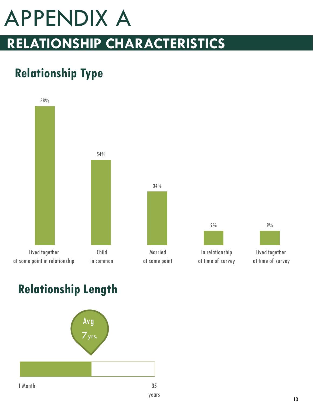### APPENDIX A **RELATIONSHIP CHARACTERISTICS**

#### **Relationship Type**



#### **Relationship Length**



13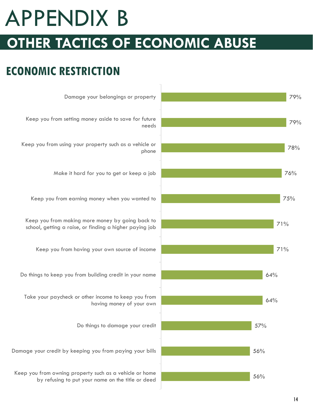### APPENDIX B **OTHER TACTICS OF ECONOMIC ABUSE**

#### **ECONOMIC RESTRICTION**

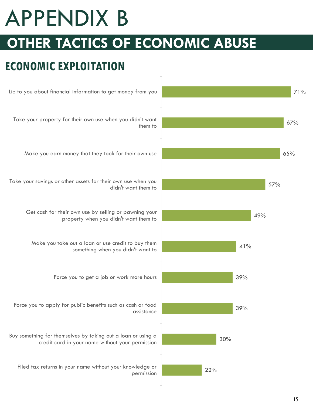### APPENDIX B **OTHER TACTICS OF ECONOMIC ABUSE**

#### **ECONOMIC EXPLOITATION**

![](_page_16_Figure_2.jpeg)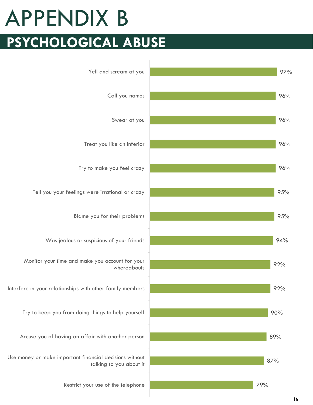### **PSYCHOLOGICAL ABUSE** APPENDIX B

![](_page_17_Figure_1.jpeg)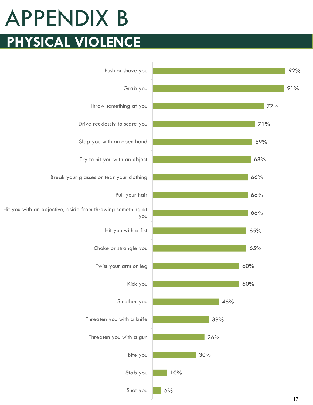### **PHYSICAL VIOLENCE** APPENDIX B

![](_page_18_Figure_1.jpeg)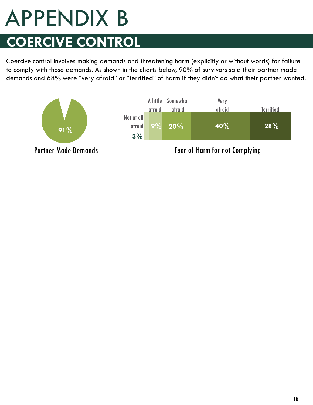### **COERCIVE CONTROL** APPENDIX B

Coercive control involves making demands and threatening harm (explicitly or without words) for failure to comply with those demands. As shown in the charts below, 90% of survivors said their partner made demands and 68% were "very afraid" or "terrified" of harm if they didn't do what their partner wanted.

![](_page_19_Figure_2.jpeg)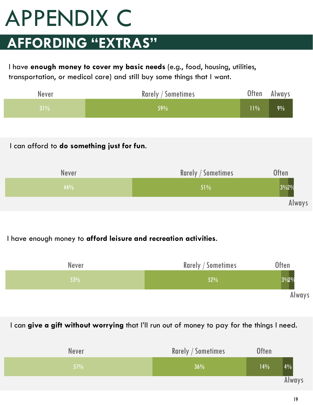### APPENDIX C

### **AFFORDING "EXTRAS"**

I have **enough money to cover my basic needs** (e.g., food, housing, utilities, transportation, or medical care) and still buy some things that I want.

| Never | <b>Rarely / Sometimes</b> | Often    | Always |
|-------|---------------------------|----------|--------|
| 31%   | $159\%$                   | $ 11\% $ | 9%     |

#### I can afford to **do something just for fun**.

![](_page_20_Figure_5.jpeg)

#### I have enough money to **afford leisure and recreation activities**.

![](_page_20_Figure_7.jpeg)

#### I can **give a gift without worrying** that I'll run out of money to pay for the things I need.

| <b>Never</b>  | <b>Rarely / Sometimes</b> | <b>Often</b> |        |
|---------------|---------------------------|--------------|--------|
| $\sqrt{57\%}$ | 36%                       | 14%          | 4%     |
|               |                           |              | Always |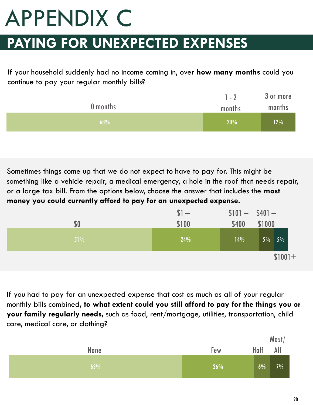# APPENDIX C

#### **PAYING FOR UNEXPECTED EXPENSES**

If your household suddenly had no income coming in, over **how many months** could you continue to pay your regular monthly bills?

|          | $1 - 2$ | 3 or more |
|----------|---------|-----------|
| 0 months | months  | months    |
| 68%      | 20%     | 12%       |

Sometimes things come up that we do not expect to have to pay for. This might be something like a vehicle repair, a medical emergency, a hole in the roof that needs repair, or a large tax bill. From the options below, choose the answer that includes the **most money you could currently afford to pay for an unexpected expense.**

|        | $$1 -$ | $$101 - $401 -$ |          |
|--------|--------|-----------------|----------|
| \$0    | \$100  | \$400           | \$1000   |
| $51\%$ | 24%    | 14%             | $5\%$ 5% |
|        |        |                 | $$1001+$ |

If you had to pay for an unexpected expense that cost as much as all of your regular monthly bills combined**, to what extent could you still afford to pay for the things you or your family regularly needs,** such as food, rent/mortgage, utilities, transportation, child care, medical care, or clothing?

|      |     | Most/    |       |
|------|-----|----------|-------|
| None | Few | Half All |       |
| 63%  | 26% | 6%       | $7\%$ |